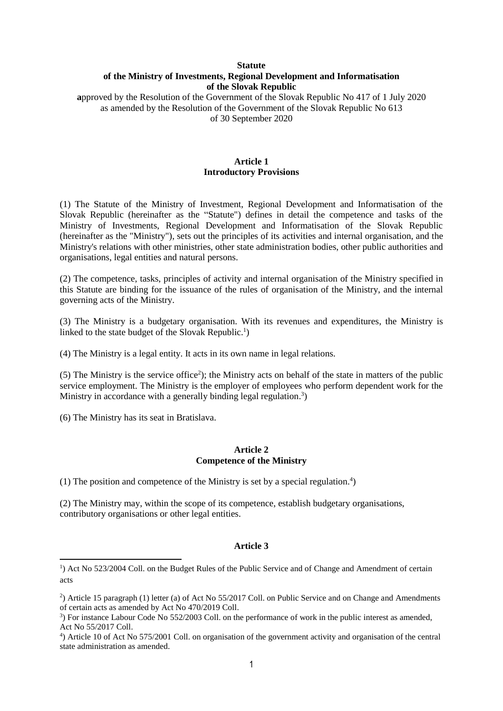# **Statute of the Ministry of Investments, Regional Development and Informatisation of the Slovak Republic**

**a**pproved by the Resolution of the Government of the Slovak Republic No 417 of 1 July 2020 as amended by the Resolution of the Government of the Slovak Republic No 613 of 30 September 2020

# **Article 1 Introductory Provisions**

(1) The Statute of the Ministry of Investment, Regional Development and Informatisation of the Slovak Republic (hereinafter as the "Statute") defines in detail the competence and tasks of the Ministry of Investments, Regional Development and Informatisation of the Slovak Republic (hereinafter as the "Ministry"), sets out the principles of its activities and internal organisation, and the Ministry's relations with other ministries, other state administration bodies, other public authorities and organisations, legal entities and natural persons.

(2) The competence, tasks, principles of activity and internal organisation of the Ministry specified in this Statute are binding for the issuance of the rules of organisation of the Ministry, and the internal governing acts of the Ministry.

(3) The Ministry is a budgetary organisation. With its revenues and expenditures, the Ministry is linked to the state budget of the Slovak Republic.<sup>1</sup>)

(4) The Ministry is a legal entity. It acts in its own name in legal relations.

(5) The Ministry is the service office<sup>2</sup>); the Ministry acts on behalf of the state in matters of the public service employment. The Ministry is the employer of employees who perform dependent work for the Ministry in accordance with a generally binding legal regulation.<sup>3</sup>)

(6) The Ministry has its seat in Bratislava.

**.** 

#### **Article 2 Competence of the Ministry**

(1) The position and competence of the Ministry is set by a special regulation. 4 )

(2) The Ministry may, within the scope of its competence, establish budgetary organisations, contributory organisations or other legal entities.

### **Article 3**

<sup>&</sup>lt;sup>1</sup>) Act No 523/2004 Coll. on the Budget Rules of the Public Service and of Change and Amendment of certain acts

<sup>2</sup> ) Article 15 paragraph (1) letter (a) of Act No 55/2017 Coll. on Public Service and on Change and Amendments of certain acts as amended by Act No 470/2019 Coll.

<sup>&</sup>lt;sup>3</sup>) For instance Labour Code No 552/2003 Coll. on the performance of work in the public interest as amended, Act No 55/2017 Coll.

<sup>4</sup> ) Article 10 of Act No 575/2001 Coll. on organisation of the government activity and organisation of the central state administration as amended.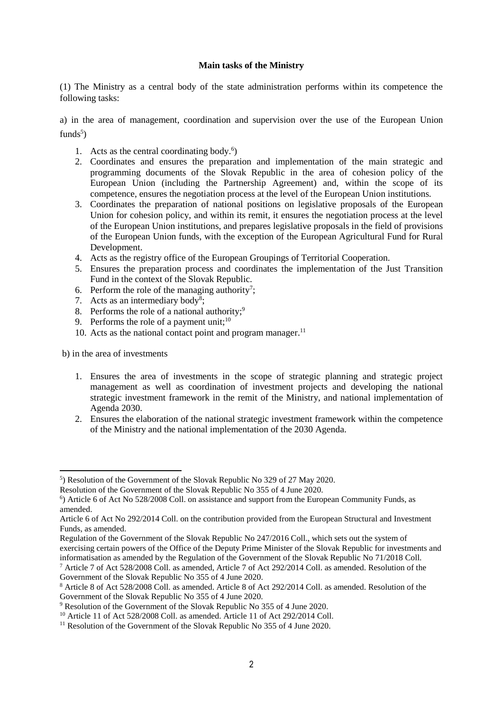#### **Main tasks of the Ministry**

(1) The Ministry as a central body of the state administration performs within its competence the following tasks:

a) in the area of management, coordination and supervision over the use of the European Union funds<sup>5</sup>)

- 1. Acts as the central coordinating body.<sup>6</sup>)
- 2. Coordinates and ensures the preparation and implementation of the main strategic and programming documents of the Slovak Republic in the area of cohesion policy of the European Union (including the Partnership Agreement) and, within the scope of its competence, ensures the negotiation process at the level of the European Union institutions.
- 3. Coordinates the preparation of national positions on legislative proposals of the European Union for cohesion policy, and within its remit, it ensures the negotiation process at the level of the European Union institutions, and prepares legislative proposals in the field of provisions of the European Union funds, with the exception of the European Agricultural Fund for Rural Development.
- 4. Acts as the registry office of the European Groupings of Territorial Cooperation.
- 5. Ensures the preparation process and coordinates the implementation of the Just Transition Fund in the context of the Slovak Republic.
- 6. Perform the role of the managing authority<sup>7</sup>;
- 7. Acts as an intermediary body<sup>8</sup>;
- 8. Performs the role of a national authority;<sup>9</sup>
- 9. Performs the role of a payment unit;  $10$
- 10. Acts as the national contact point and program manager.<sup>11</sup>

b) in the area of investments

**.** 

- 1. Ensures the area of investments in the scope of strategic planning and strategic project management as well as coordination of investment projects and developing the national strategic investment framework in the remit of the Ministry, and national implementation of Agenda 2030.
- 2. Ensures the elaboration of the national strategic investment framework within the competence of the Ministry and the national implementation of the 2030 Agenda.

Regulation of the Government of the Slovak Republic No 247/2016 Coll., which sets out the system of exercising certain powers of the Office of the Deputy Prime Minister of the Slovak Republic for investments and informatisation as amended by the Regulation of the Government of the Slovak Republic No 71/2018 Coll.

<sup>5</sup> ) Resolution of the Government of the Slovak Republic No 329 of 27 May 2020.

Resolution of the Government of the Slovak Republic No 355 of 4 June 2020.

<sup>6</sup> ) Article 6 of Act No 528/2008 Coll. on assistance and support from the European Community Funds, as amended.

Article 6 of Act No 292/2014 Coll. on the contribution provided from the European Structural and Investment Funds, as amended.

<sup>7</sup> Article 7 of Act 528/2008 Coll. as amended, Article 7 of Act 292/2014 Coll. as amended. Resolution of the Government of the Slovak Republic No 355 of 4 June 2020.

<sup>8</sup> Article 8 of Act 528/2008 Coll. as amended. Article 8 of Act 292/2014 Coll. as amended. Resolution of the Government of the Slovak Republic No 355 of 4 June 2020.

<sup>9</sup> Resolution of the Government of the Slovak Republic No 355 of 4 June 2020.

<sup>&</sup>lt;sup>10</sup> Article 11 of Act 528/2008 Coll. as amended. Article 11 of Act 292/2014 Coll.

<sup>&</sup>lt;sup>11</sup> Resolution of the Government of the Slovak Republic No  $355$  of 4 June 2020.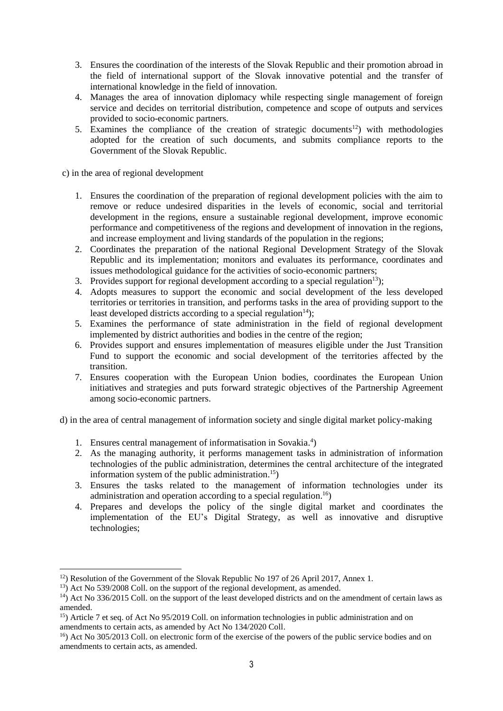- 3. Ensures the coordination of the interests of the Slovak Republic and their promotion abroad in the field of international support of the Slovak innovative potential and the transfer of international knowledge in the field of innovation.
- 4. Manages the area of innovation diplomacy while respecting single management of foreign service and decides on territorial distribution, competence and scope of outputs and services provided to socio-economic partners.
- 5. Examines the compliance of the creation of strategic documents<sup>12</sup>) with methodologies adopted for the creation of such documents, and submits compliance reports to the Government of the Slovak Republic.

c) in the area of regional development

- 1. Ensures the coordination of the preparation of regional development policies with the aim to remove or reduce undesired disparities in the levels of economic, social and territorial development in the regions, ensure a sustainable regional development, improve economic performance and competitiveness of the regions and development of innovation in the regions, and increase employment and living standards of the population in the regions;
- 2. Coordinates the preparation of the national Regional Development Strategy of the Slovak Republic and its implementation; monitors and evaluates its performance, coordinates and issues methodological guidance for the activities of socio-economic partners;
- 3. Provides support for regional development according to a special regulation<sup>13</sup>);
- 4. Adopts measures to support the economic and social development of the less developed territories or territories in transition, and performs tasks in the area of providing support to the least developed districts according to a special regulation<sup>14</sup>);
- 5. Examines the performance of state administration in the field of regional development implemented by district authorities and bodies in the centre of the region;
- 6. Provides support and ensures implementation of measures eligible under the Just Transition Fund to support the economic and social development of the territories affected by the transition.
- 7. Ensures cooperation with the European Union bodies, coordinates the European Union initiatives and strategies and puts forward strategic objectives of the Partnership Agreement among socio-economic partners.

d) in the area of central management of information society and single digital market policy-making

- 1. Ensures central management of informatisation in Sovakia.<sup>4</sup>)
- 2. As the managing authority, it performs management tasks in administration of information technologies of the public administration, determines the central architecture of the integrated information system of the public administration. 15)
- 3. Ensures the tasks related to the management of information technologies under its administration and operation according to a special regulation.<sup>16</sup>)
- 4. Prepares and develops the policy of the single digital market and coordinates the implementation of the EU's Digital Strategy, as well as innovative and disruptive technologies;

1

<sup>&</sup>lt;sup>12</sup>) Resolution of the Government of the Slovak Republic No 197 of 26 April 2017, Annex 1.

 $13)$  Act No 539/2008 Coll. on the support of the regional development, as amended.

<sup>&</sup>lt;sup>14</sup>) Act No 336/2015 Coll. on the support of the least developed districts and on the amendment of certain laws as amended.

 $15$ ) Article 7 et seq. of Act No 95/2019 Coll. on information technologies in public administration and on amendments to certain acts, as amended by Act No 134/2020 Coll.

<sup>&</sup>lt;sup>16</sup>) Act No 305/2013 Coll. on electronic form of the exercise of the powers of the public service bodies and on amendments to certain acts, as amended.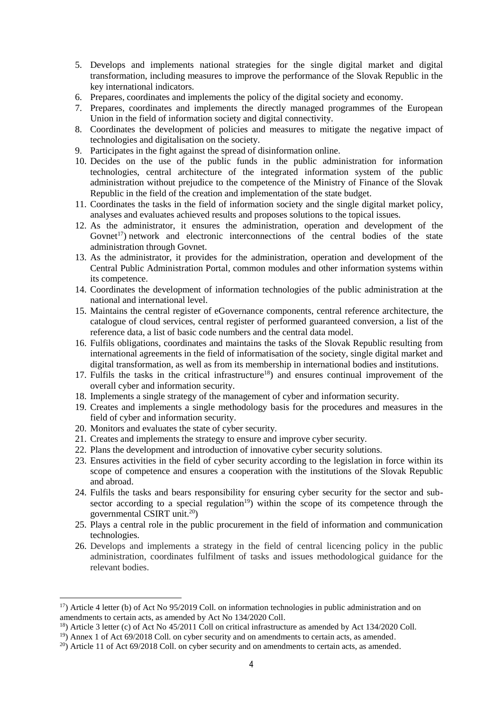- 5. Develops and implements national strategies for the single digital market and digital transformation, including measures to improve the performance of the Slovak Republic in the key international indicators.
- 6. Prepares, coordinates and implements the policy of the digital society and economy.
- 7. Prepares, coordinates and implements the directly managed programmes of the European Union in the field of information society and digital connectivity.
- 8. Coordinates the development of policies and measures to mitigate the negative impact of technologies and digitalisation on the society.
- 9. Participates in the fight against the spread of disinformation online.
- 10. Decides on the use of the public funds in the public administration for information technologies, central architecture of the integrated information system of the public administration without prejudice to the competence of the Ministry of Finance of the Slovak Republic in the field of the creation and implementation of the state budget.
- 11. Coordinates the tasks in the field of information society and the single digital market policy, analyses and evaluates achieved results and proposes solutions to the topical issues.
- 12. As the administrator, it ensures the administration, operation and development of the Govnet<sup>17</sup>) network and electronic interconnections of the central bodies of the state administration through Govnet.
- 13. As the administrator, it provides for the administration, operation and development of the Central Public Administration Portal, common modules and other information systems within its competence.
- 14. Coordinates the development of information technologies of the public administration at the national and international level.
- 15. Maintains the central register of eGovernance components, central reference architecture, the catalogue of cloud services, central register of performed guaranteed conversion, a list of the reference data, a list of basic code numbers and the central data model.
- 16. Fulfils obligations, coordinates and maintains the tasks of the Slovak Republic resulting from international agreements in the field of informatisation of the society, single digital market and digital transformation, as well as from its membership in international bodies and institutions.
- 17. Fulfils the tasks in the critical infrastructure<sup>18</sup>) and ensures continual improvement of the overall cyber and information security.
- 18. Implements a single strategy of the management of cyber and information security.
- 19. Creates and implements a single methodology basis for the procedures and measures in the field of cyber and information security.
- 20. Monitors and evaluates the state of cyber security.

1

- 21. Creates and implements the strategy to ensure and improve cyber security.
- 22. Plans the development and introduction of innovative cyber security solutions.
- 23. Ensures activities in the field of cyber security according to the legislation in force within its scope of competence and ensures a cooperation with the institutions of the Slovak Republic and abroad.
- 24. Fulfils the tasks and bears responsibility for ensuring cyber security for the sector and subsector according to a special regulation<sup>19</sup>) within the scope of its competence through the governmental CSIRT unit.<sup>20</sup>)
- 25. Plays a central role in the public procurement in the field of information and communication technologies.
- 26. Develops and implements a strategy in the field of central licencing policy in the public administration, coordinates fulfilment of tasks and issues methodological guidance for the relevant bodies.

 $17$ ) Article 4 letter (b) of Act No 95/2019 Coll. on information technologies in public administration and on amendments to certain acts, as amended by Act No 134/2020 Coll.

<sup>&</sup>lt;sup>18</sup>) Article 3 letter (c) of Act No 45/2011 Coll on critical infrastructure as amended by Act 134/2020 Coll.

<sup>&</sup>lt;sup>19</sup>) Annex 1 of Act 69/2018 Coll. on cyber security and on amendments to certain acts, as amended.

 $^{20}$ ) Article 11 of Act 69/2018 Coll. on cyber security and on amendments to certain acts, as amended.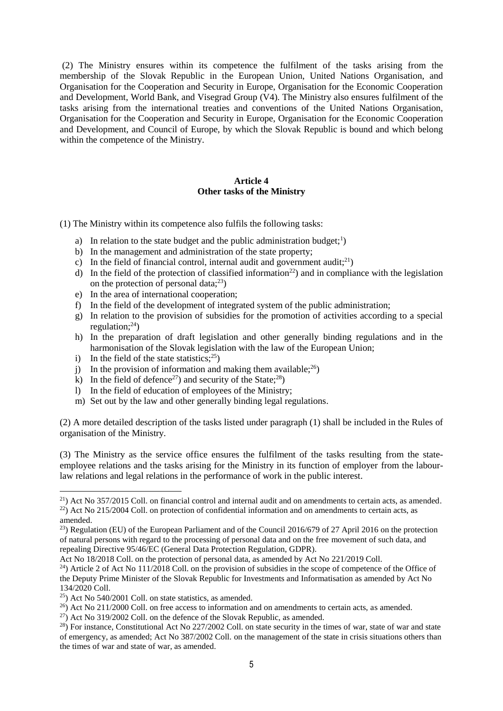(2) The Ministry ensures within its competence the fulfilment of the tasks arising from the membership of the Slovak Republic in the European Union, United Nations Organisation, and Organisation for the Cooperation and Security in Europe, Organisation for the Economic Cooperation and Development, World Bank, and Visegrad Group (V4). The Ministry also ensures fulfilment of the tasks arising from the international treaties and conventions of the United Nations Organisation, Organisation for the Cooperation and Security in Europe, Organisation for the Economic Cooperation and Development, and Council of Europe, by which the Slovak Republic is bound and which belong within the competence of the Ministry.

## **Article 4 Other tasks of the Ministry**

(1) The Ministry within its competence also fulfils the following tasks:

- a) In relation to the state budget and the public administration budget;<sup>1</sup>)
- b) In the management and administration of the state property;
- c) In the field of financial control, internal audit and government audit;<sup>21</sup>)
- d) In the field of the protection of classified information<sup>22</sup>) and in compliance with the legislation on the protection of personal data; $^{23}$ )
- e) In the area of international cooperation;
- f) In the field of the development of integrated system of the public administration;
- g) In relation to the provision of subsidies for the promotion of activities according to a special regulation: $^{24}$ )
- h) In the preparation of draft legislation and other generally binding regulations and in the harmonisation of the Slovak legislation with the law of the European Union;
- i) In the field of the state statistics; $^{25}$ )
- j) In the provision of information and making them available;  $^{26}$ )
- k) In the field of defence<sup>27</sup>) and security of the State;<sup>28</sup>)
- l) In the field of education of employees of the Ministry;
- m) Set out by the law and other generally binding legal regulations.

(2) A more detailed description of the tasks listed under paragraph (1) shall be included in the Rules of organisation of the Ministry.

(3) The Ministry as the service office ensures the fulfilment of the tasks resulting from the stateemployee relations and the tasks arising for the Ministry in its function of employer from the labourlaw relations and legal relations in the performance of work in the public interest.

**.** 

<sup>&</sup>lt;sup>21</sup>) Act No 357/2015 Coll. on financial control and internal audit and on amendments to certain acts, as amended.  $22$ ) Act No 215/2004 Coll. on protection of confidential information and on amendments to certain acts, as

amended.

<sup>&</sup>lt;sup>23</sup>) Regulation (EU) of the European Parliament and of the Council 2016/679 of 27 April 2016 on the protection of natural persons with regard to the processing of personal data and on the free movement of such data, and repealing Directive 95/46/EC (General Data Protection Regulation, GDPR).

Act No 18/2018 Coll. on the protection of personal data, as amended by Act No 221/2019 Coll.

 $^{24}$ ) Article 2 of Act No 111/2018 Coll. on the provision of subsidies in the scope of competence of the Office of the Deputy Prime Minister of the Slovak Republic for Investments and Informatisation as amended by Act No 134/2020 Coll.

<sup>25</sup>) Act No 540/2001 Coll. on state statistics, as amended.

 $^{26}$ ) Act No 211/2000 Coll. on free access to information and on amendments to certain acts, as amended.

 $^{27}$ ) Act No 319/2002 Coll. on the defence of the Slovak Republic, as amended.

 $^{28}$ ) For instance, Constitutional Act No 227/2002 Coll. on state security in the times of war, state of war and state of emergency, as amended; Act No 387/2002 Coll. on the management of the state in crisis situations others than the times of war and state of war, as amended.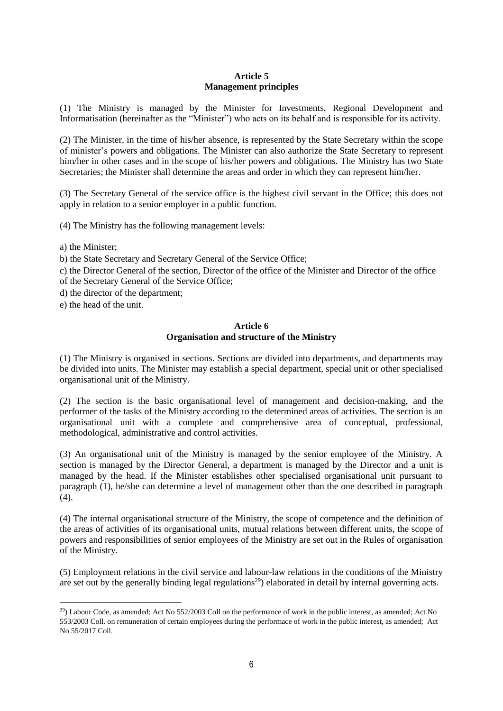# **Article 5 Management principles**

(1) The Ministry is managed by the Minister for Investments, Regional Development and Informatisation (hereinafter as the "Minister") who acts on its behalf and is responsible for its activity.

(2) The Minister, in the time of his/her absence, is represented by the State Secretary within the scope of minister's powers and obligations. The Minister can also authorize the State Secretary to represent him/her in other cases and in the scope of his/her powers and obligations. The Ministry has two State Secretaries; the Minister shall determine the areas and order in which they can represent him/her.

(3) The Secretary General of the service office is the highest civil servant in the Office; this does not apply in relation to a senior employer in a public function.

(4) The Ministry has the following management levels:

a) the Minister;

b) the State Secretary and Secretary General of the Service Office;

c) the Director General of the section, Director of the office of the Minister and Director of the office of the Secretary General of the Service Office;

d) the director of the department;

e) the head of the unit.

#### **Article 6 Organisation and structure of the Ministry**

(1) The Ministry is organised in sections. Sections are divided into departments, and departments may be divided into units. The Minister may establish a special department, special unit or other specialised organisational unit of the Ministry.

(2) The section is the basic organisational level of management and decision-making, and the performer of the tasks of the Ministry according to the determined areas of activities. The section is an organisational unit with a complete and comprehensive area of conceptual, professional, methodological, administrative and control activities.

(3) An organisational unit of the Ministry is managed by the senior employee of the Ministry. A section is managed by the Director General, a department is managed by the Director and a unit is managed by the head. If the Minister establishes other specialised organisational unit pursuant to paragraph (1), he/she can determine a level of management other than the one described in paragraph  $(4)$ .

(4) The internal organisational structure of the Ministry, the scope of competence and the definition of the areas of activities of its organisational units, mutual relations between different units, the scope of powers and responsibilities of senior employees of the Ministry are set out in the Rules of organisation of the Ministry.

(5) Employment relations in the civil service and labour-law relations in the conditions of the Ministry are set out by the generally binding legal regulations<sup>29</sup>) elaborated in detail by internal governing acts.

<sup>1</sup>  $^{29}$ ) Labour Code, as amended; Act No 552/2003 Coll on the performance of work in the public interest, as amended; Act No 553/2003 Coll. on remuneration of certain employees during the performace of work in the public interest, as amended; Act No 55/2017 Coll.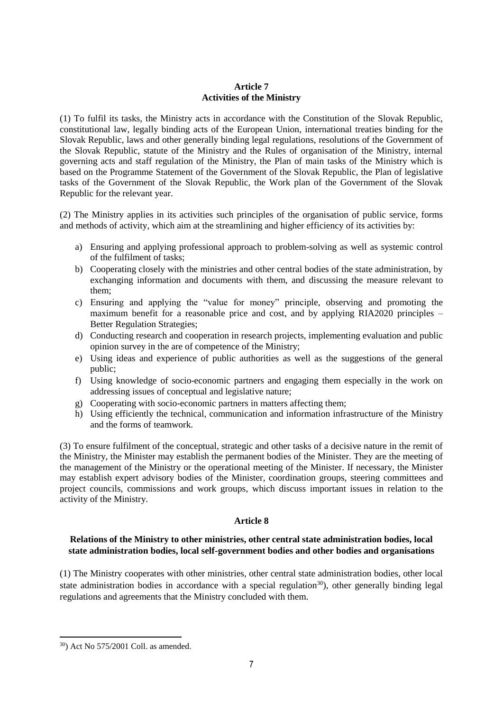### **Article 7 Activities of the Ministry**

(1) To fulfil its tasks, the Ministry acts in accordance with the Constitution of the Slovak Republic, constitutional law, legally binding acts of the European Union, international treaties binding for the Slovak Republic, laws and other generally binding legal regulations, resolutions of the Government of the Slovak Republic, statute of the Ministry and the Rules of organisation of the Ministry, internal governing acts and staff regulation of the Ministry, the Plan of main tasks of the Ministry which is based on the Programme Statement of the Government of the Slovak Republic, the Plan of legislative tasks of the Government of the Slovak Republic, the Work plan of the Government of the Slovak Republic for the relevant year.

(2) The Ministry applies in its activities such principles of the organisation of public service, forms and methods of activity, which aim at the streamlining and higher efficiency of its activities by:

- a) Ensuring and applying professional approach to problem-solving as well as systemic control of the fulfilment of tasks;
- b) Cooperating closely with the ministries and other central bodies of the state administration, by exchanging information and documents with them, and discussing the measure relevant to them;
- c) Ensuring and applying the "value for money" principle, observing and promoting the maximum benefit for a reasonable price and cost, and by applying RIA2020 principles – Better Regulation Strategies;
- d) Conducting research and cooperation in research projects, implementing evaluation and public opinion survey in the are of competence of the Ministry;
- e) Using ideas and experience of public authorities as well as the suggestions of the general public;
- f) Using knowledge of socio-economic partners and engaging them especially in the work on addressing issues of conceptual and legislative nature;
- g) Cooperating with socio-economic partners in matters affecting them;
- h) Using efficiently the technical, communication and information infrastructure of the Ministry and the forms of teamwork.

(3) To ensure fulfilment of the conceptual, strategic and other tasks of a decisive nature in the remit of the Ministry, the Minister may establish the permanent bodies of the Minister. They are the meeting of the management of the Ministry or the operational meeting of the Minister. If necessary, the Minister may establish expert advisory bodies of the Minister, coordination groups, steering committees and project councils, commissions and work groups, which discuss important issues in relation to the activity of the Ministry.

# **Article 8**

# **Relations of the Ministry to other ministries, other central state administration bodies, local state administration bodies, local self-government bodies and other bodies and organisations**

(1) The Ministry cooperates with other ministries, other central state administration bodies, other local state administration bodies in accordance with a special regulation<sup>30</sup>), other generally binding legal regulations and agreements that the Ministry concluded with them.

1

<sup>30</sup>) Act No 575/2001 Coll. as amended.